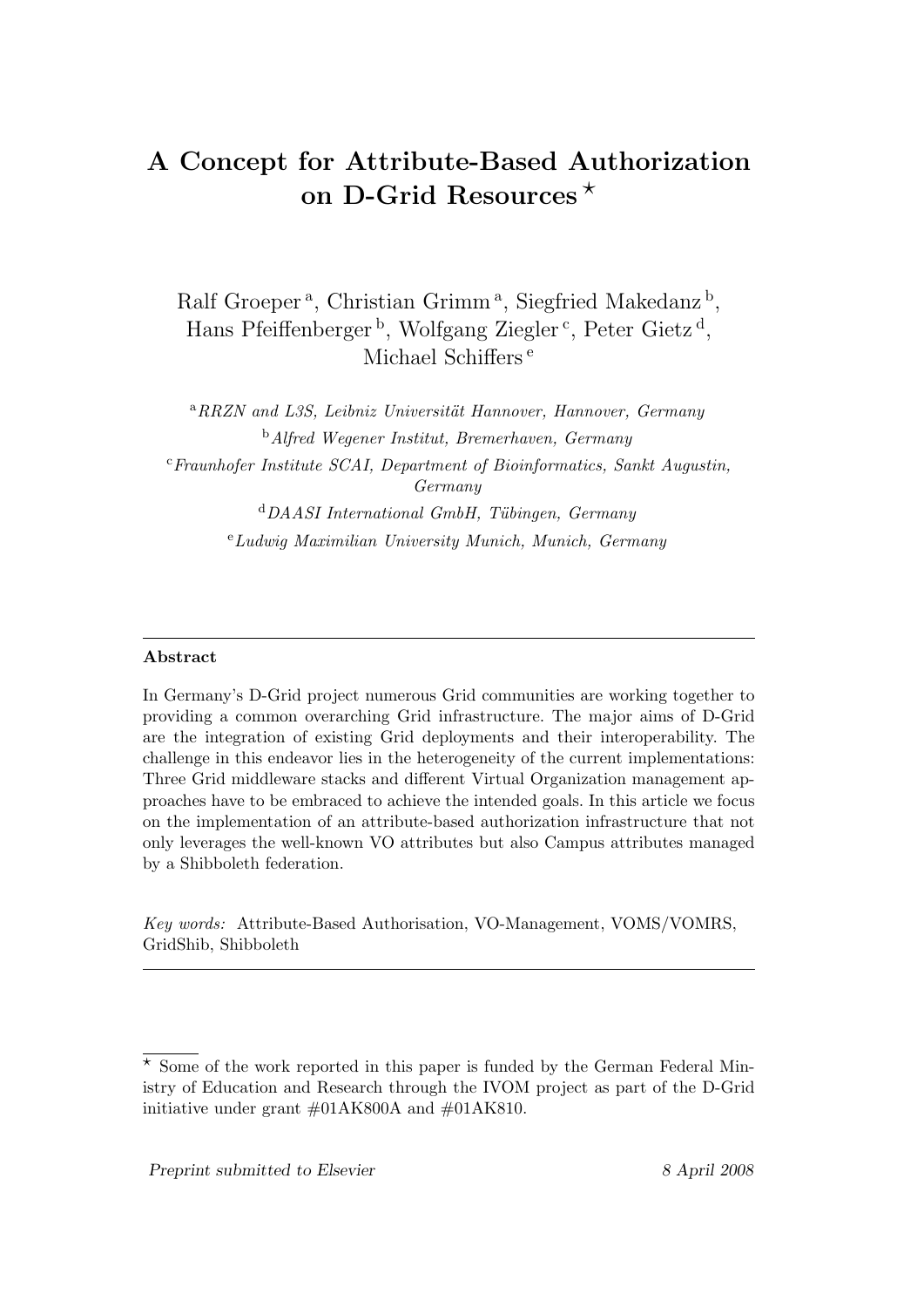# A Concept for Attribute-Based Authorization on D-Grid Resources<sup>\*</sup>

Ralf Groeper<sup>a</sup>, Christian Grimm<sup>a</sup>, Siegfried Makedanz<sup>b</sup>, Hans Pfeiffenberger<sup>b</sup>, Wolfgang Ziegler<sup>c</sup>, Peter Gietz<sup>d</sup>, Michael Schiffers <sup>e</sup>

 $A$ RRZN and L3S, Leibniz Universität Hannover, Hannover, Germany <sup>b</sup>Alfred Wegener Institut, Bremerhaven, Germany  $c$ Fraunhofer Institute SCAI, Department of Bioinformatics, Sankt Augustin, Germany  $d$ DAASI International GmbH, Tübingen, Germany <sup>e</sup>Ludwig Maximilian University Munich, Munich, Germany

#### Abstract

In Germany's D-Grid project numerous Grid communities are working together to providing a common overarching Grid infrastructure. The major aims of D-Grid are the integration of existing Grid deployments and their interoperability. The challenge in this endeavor lies in the heterogeneity of the current implementations: Three Grid middleware stacks and different Virtual Organization management approaches have to be embraced to achieve the intended goals. In this article we focus on the implementation of an attribute-based authorization infrastructure that not only leverages the well-known VO attributes but also Campus attributes managed by a Shibboleth federation.

Key words: Attribute-Based Authorisation, VO-Management, VOMS/VOMRS, GridShib, Shibboleth

 $*$  Some of the work reported in this paper is funded by the German Federal Ministry of Education and Research through the IVOM project as part of the D-Grid initiative under grant #01AK800A and #01AK810.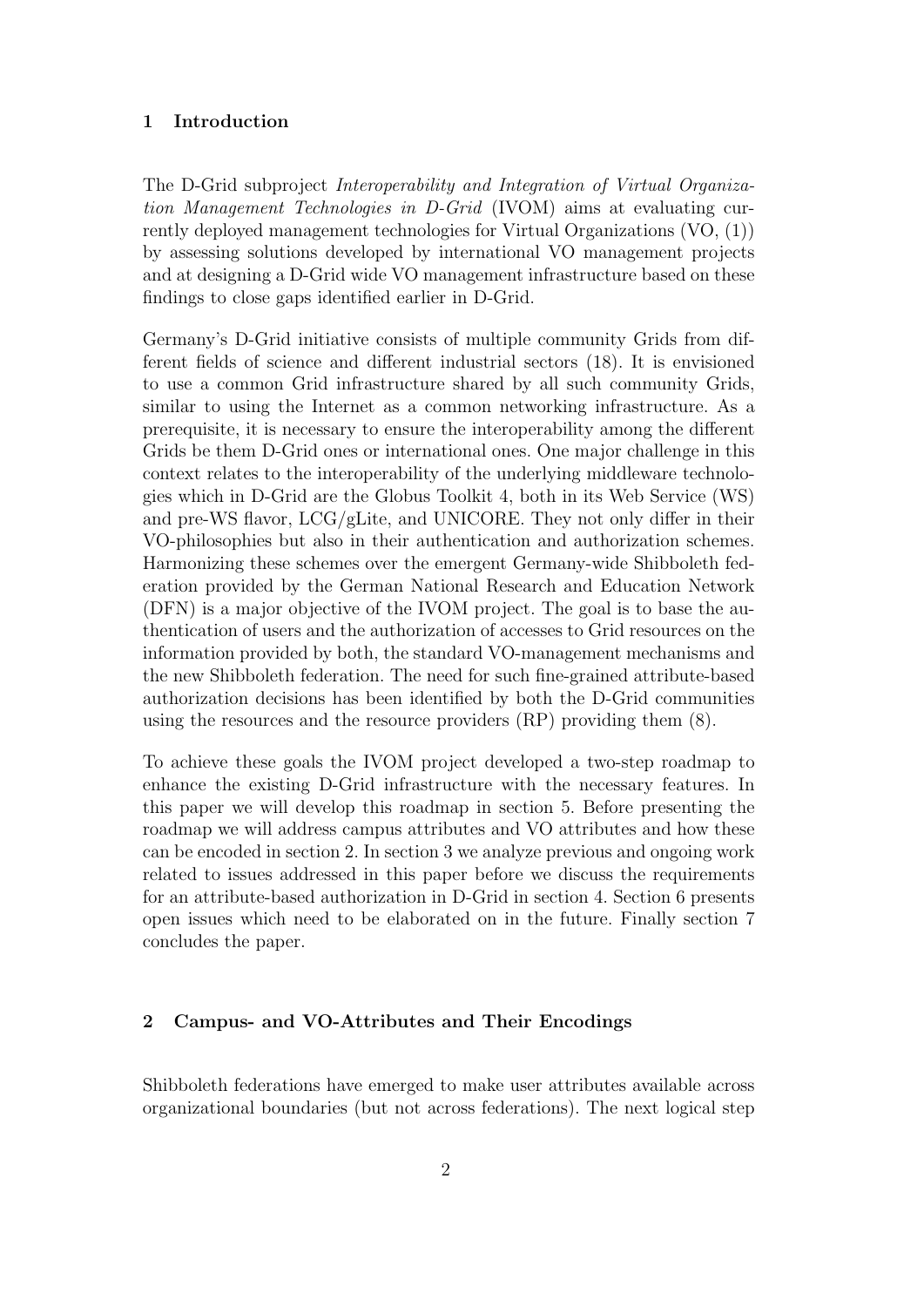#### 1 Introduction

The D-Grid subproject Interoperability and Integration of Virtual Organization Management Technologies in D-Grid (IVOM) aims at evaluating currently deployed management technologies for Virtual Organizations (VO, (1)) by assessing solutions developed by international VO management projects and at designing a D-Grid wide VO management infrastructure based on these findings to close gaps identified earlier in D-Grid.

Germany's D-Grid initiative consists of multiple community Grids from different fields of science and different industrial sectors (18). It is envisioned to use a common Grid infrastructure shared by all such community Grids, similar to using the Internet as a common networking infrastructure. As a prerequisite, it is necessary to ensure the interoperability among the different Grids be them D-Grid ones or international ones. One major challenge in this context relates to the interoperability of the underlying middleware technologies which in D-Grid are the Globus Toolkit 4, both in its Web Service (WS) and pre-WS flavor, LCG/gLite, and UNICORE. They not only differ in their VO-philosophies but also in their authentication and authorization schemes. Harmonizing these schemes over the emergent Germany-wide Shibboleth federation provided by the German National Research and Education Network (DFN) is a major objective of the IVOM project. The goal is to base the authentication of users and the authorization of accesses to Grid resources on the information provided by both, the standard VO-management mechanisms and the new Shibboleth federation. The need for such fine-grained attribute-based authorization decisions has been identified by both the D-Grid communities using the resources and the resource providers (RP) providing them (8).

To achieve these goals the IVOM project developed a two-step roadmap to enhance the existing D-Grid infrastructure with the necessary features. In this paper we will develop this roadmap in section 5. Before presenting the roadmap we will address campus attributes and VO attributes and how these can be encoded in section 2. In section 3 we analyze previous and ongoing work related to issues addressed in this paper before we discuss the requirements for an attribute-based authorization in D-Grid in section 4. Section 6 presents open issues which need to be elaborated on in the future. Finally section 7 concludes the paper.

# 2 Campus- and VO-Attributes and Their Encodings

Shibboleth federations have emerged to make user attributes available across organizational boundaries (but not across federations). The next logical step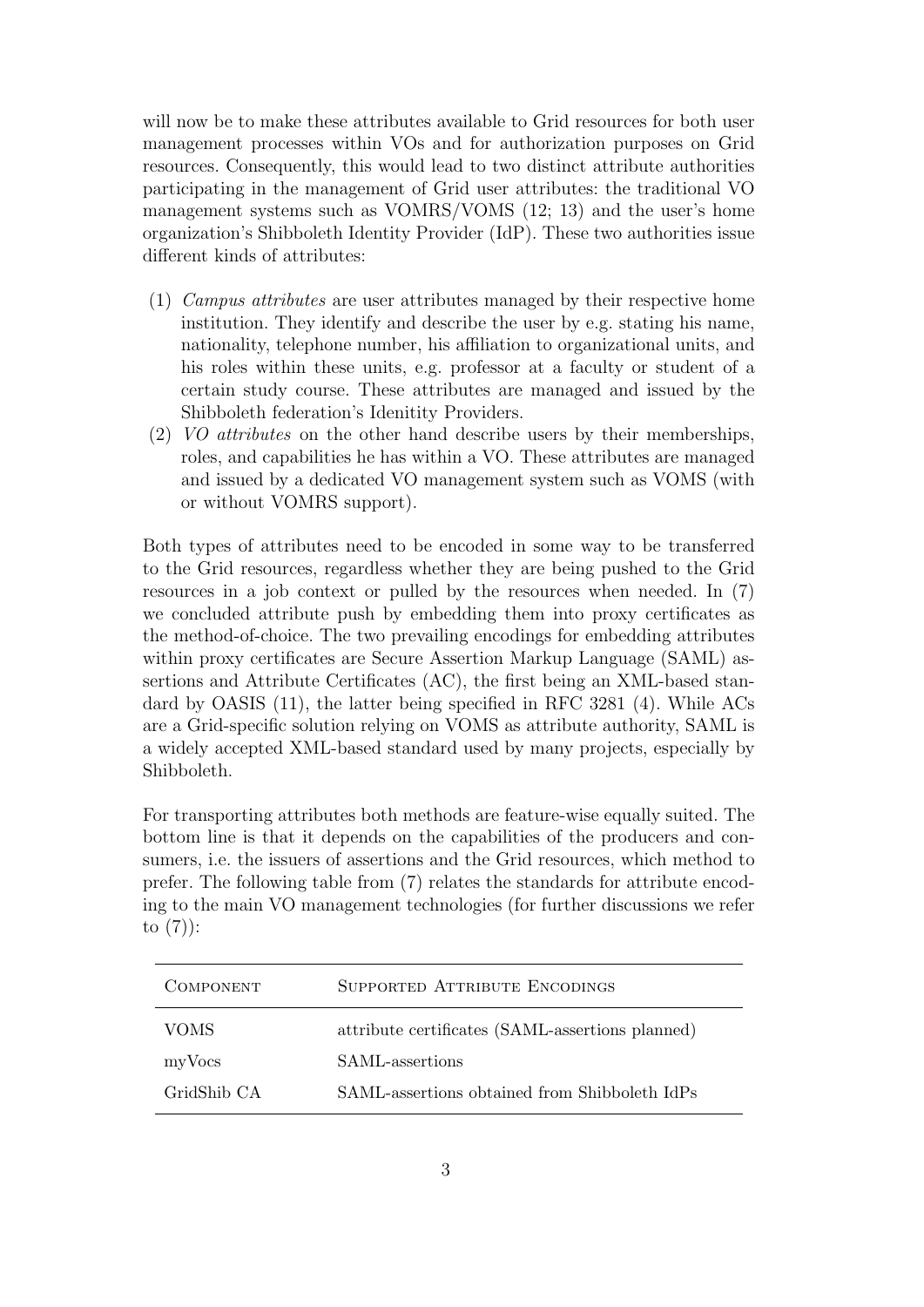will now be to make these attributes available to Grid resources for both user management processes within VOs and for authorization purposes on Grid resources. Consequently, this would lead to two distinct attribute authorities participating in the management of Grid user attributes: the traditional VO management systems such as VOMRS/VOMS (12; 13) and the user's home organization's Shibboleth Identity Provider (IdP). These two authorities issue different kinds of attributes:

- (1) Campus attributes are user attributes managed by their respective home institution. They identify and describe the user by e.g. stating his name, nationality, telephone number, his affiliation to organizational units, and his roles within these units, e.g. professor at a faculty or student of a certain study course. These attributes are managed and issued by the Shibboleth federation's Idenitity Providers.
- (2) VO attributes on the other hand describe users by their memberships, roles, and capabilities he has within a VO. These attributes are managed and issued by a dedicated VO management system such as VOMS (with or without VOMRS support).

Both types of attributes need to be encoded in some way to be transferred to the Grid resources, regardless whether they are being pushed to the Grid resources in a job context or pulled by the resources when needed. In (7) we concluded attribute push by embedding them into proxy certificates as the method-of-choice. The two prevailing encodings for embedding attributes within proxy certificates are Secure Assertion Markup Language (SAML) assertions and Attribute Certificates (AC), the first being an XML-based standard by OASIS (11), the latter being specified in RFC 3281 (4). While ACs are a Grid-specific solution relying on VOMS as attribute authority, SAML is a widely accepted XML-based standard used by many projects, especially by Shibboleth.

For transporting attributes both methods are feature-wise equally suited. The bottom line is that it depends on the capabilities of the producers and consumers, i.e. the issuers of assertions and the Grid resources, which method to prefer. The following table from (7) relates the standards for attribute encoding to the main VO management technologies (for further discussions we refer to  $(7)$ :

| <b>COMPONENT</b> | SUPPORTED ATTRIBUTE ENCODINGS                    |
|------------------|--------------------------------------------------|
| <b>VOMS</b>      | attribute certificates (SAML-assertions planned) |
| my Vocs          | SAML-assertions                                  |
| GridShib CA      | SAML-assertions obtained from Shibboleth IdPs    |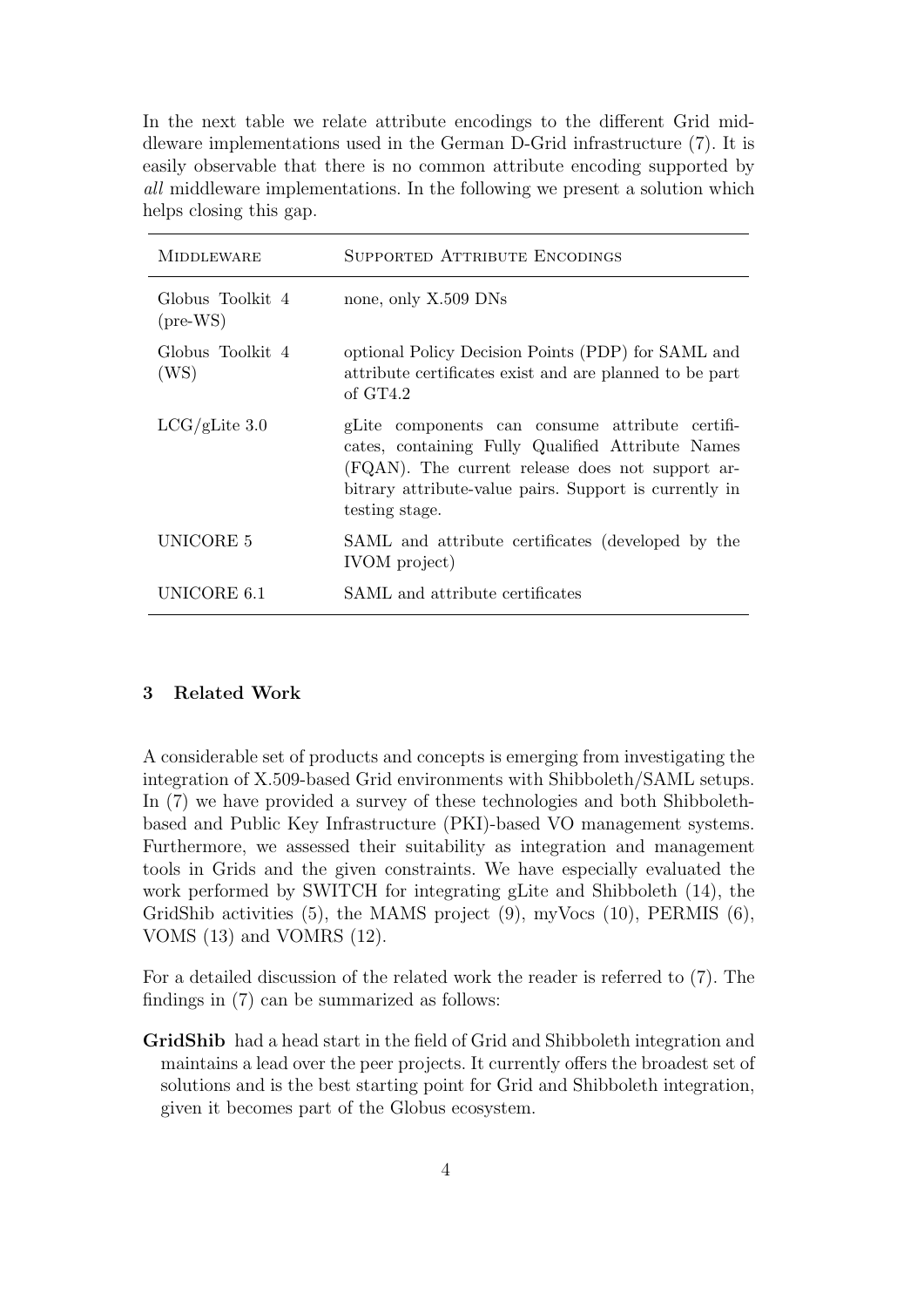In the next table we relate attribute encodings to the different Grid middleware implementations used in the German D-Grid infrastructure (7). It is easily observable that there is no common attribute encoding supported by all middleware implementations. In the following we present a solution which helps closing this gap.

| <b>MIDDLEWARE</b>                     | SUPPORTED ATTRIBUTE ENCODINGS                                                                                                                                                                                                        |
|---------------------------------------|--------------------------------------------------------------------------------------------------------------------------------------------------------------------------------------------------------------------------------------|
| Globus Toolkit 4<br>$(\text{pre-WS})$ | none, only X.509 DNs                                                                                                                                                                                                                 |
| Globus Toolkit 4<br>(WS)              | optional Policy Decision Points (PDP) for SAML and<br>attribute certificates exist and are planned to be part<br>of $GT4.2$                                                                                                          |
| LCG/gLife~3.0                         | gLite components can consume attribute certifi-<br>cates, containing Fully Qualified Attribute Names<br>(FQAN). The current release does not support ar-<br>bitrary attribute-value pairs. Support is currently in<br>testing stage. |
| UNICORE 5                             | SAML and attribute certificates (developed by the<br>IVOM project)                                                                                                                                                                   |
| UNICORE 6.1                           | SAML and attribute certificates                                                                                                                                                                                                      |

# 3 Related Work

A considerable set of products and concepts is emerging from investigating the integration of X.509-based Grid environments with Shibboleth/SAML setups. In (7) we have provided a survey of these technologies and both Shibbolethbased and Public Key Infrastructure (PKI)-based VO management systems. Furthermore, we assessed their suitability as integration and management tools in Grids and the given constraints. We have especially evaluated the work performed by SWITCH for integrating gLite and Shibboleth (14), the GridShib activities (5), the MAMS project (9), myVocs (10), PERMIS (6), VOMS (13) and VOMRS (12).

For a detailed discussion of the related work the reader is referred to (7). The findings in (7) can be summarized as follows:

GridShib had a head start in the field of Grid and Shibboleth integration and maintains a lead over the peer projects. It currently offers the broadest set of solutions and is the best starting point for Grid and Shibboleth integration, given it becomes part of the Globus ecosystem.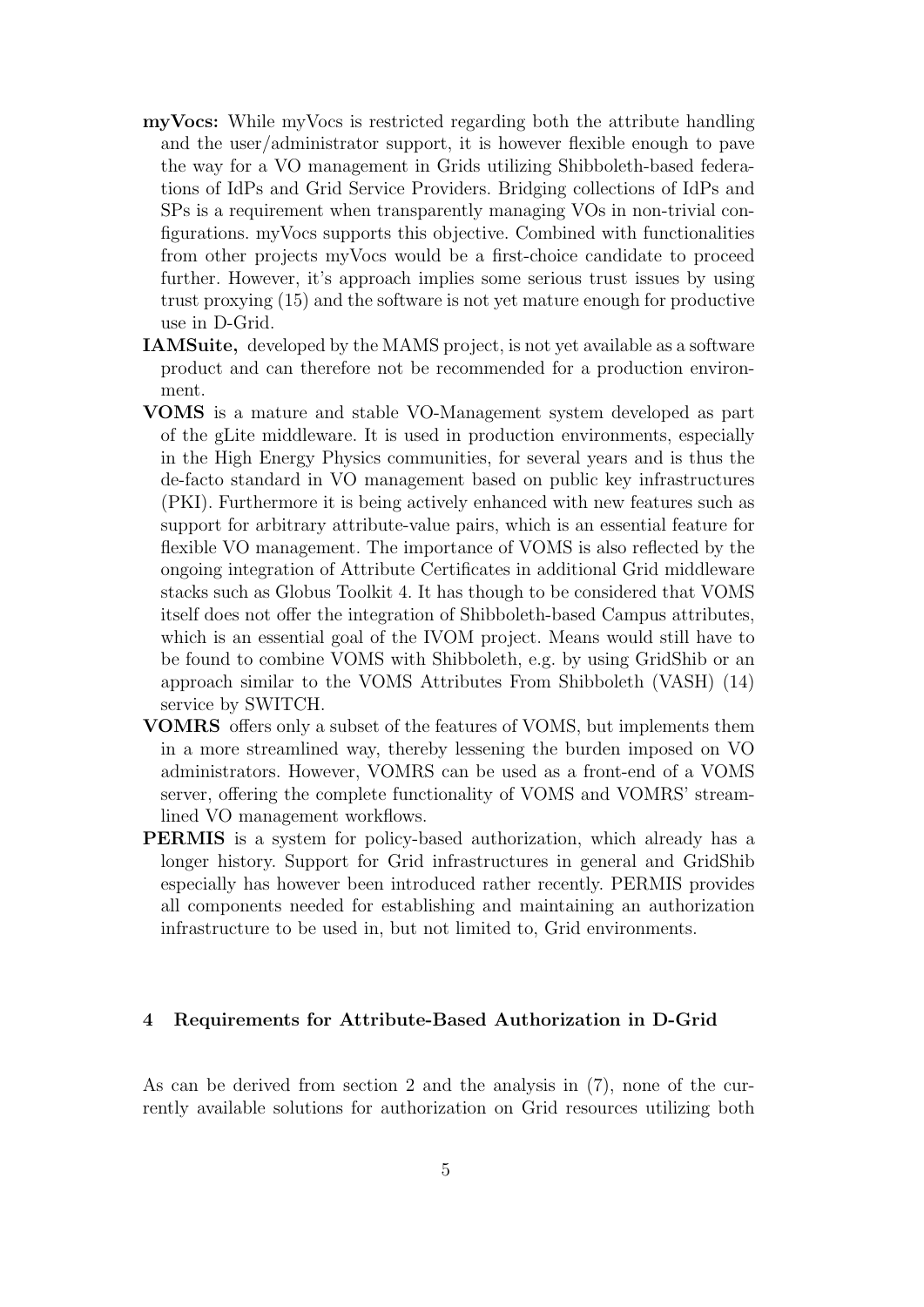- myVocs: While myVocs is restricted regarding both the attribute handling and the user/administrator support, it is however flexible enough to pave the way for a VO management in Grids utilizing Shibboleth-based federations of IdPs and Grid Service Providers. Bridging collections of IdPs and SPs is a requirement when transparently managing VOs in non-trivial configurations. myVocs supports this objective. Combined with functionalities from other projects myVocs would be a first-choice candidate to proceed further. However, it's approach implies some serious trust issues by using trust proxying (15) and the software is not yet mature enough for productive use in D-Grid.
- IAMSuite, developed by the MAMS project, is not yet available as a software product and can therefore not be recommended for a production environment.
- VOMS is a mature and stable VO-Management system developed as part of the gLite middleware. It is used in production environments, especially in the High Energy Physics communities, for several years and is thus the de-facto standard in VO management based on public key infrastructures (PKI). Furthermore it is being actively enhanced with new features such as support for arbitrary attribute-value pairs, which is an essential feature for flexible VO management. The importance of VOMS is also reflected by the ongoing integration of Attribute Certificates in additional Grid middleware stacks such as Globus Toolkit 4. It has though to be considered that VOMS itself does not offer the integration of Shibboleth-based Campus attributes, which is an essential goal of the IVOM project. Means would still have to be found to combine VOMS with Shibboleth, e.g. by using GridShib or an approach similar to the VOMS Attributes From Shibboleth (VASH) (14) service by SWITCH.
- VOMRS offers only a subset of the features of VOMS, but implements them in a more streamlined way, thereby lessening the burden imposed on VO administrators. However, VOMRS can be used as a front-end of a VOMS server, offering the complete functionality of VOMS and VOMRS' streamlined VO management workflows.
- PERMIS is a system for policy-based authorization, which already has a longer history. Support for Grid infrastructures in general and GridShib especially has however been introduced rather recently. PERMIS provides all components needed for establishing and maintaining an authorization infrastructure to be used in, but not limited to, Grid environments.

#### 4 Requirements for Attribute-Based Authorization in D-Grid

As can be derived from section 2 and the analysis in (7), none of the currently available solutions for authorization on Grid resources utilizing both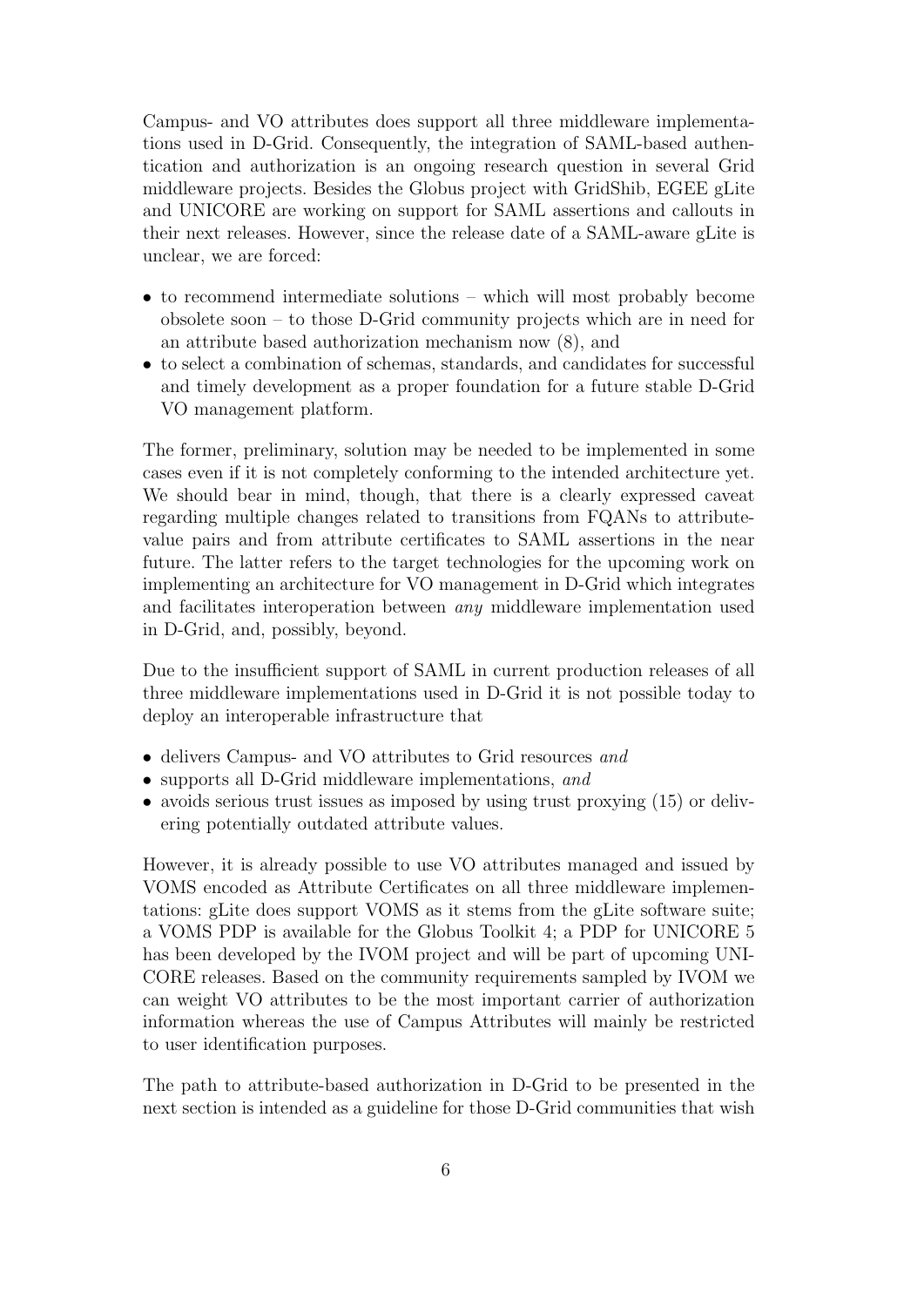Campus- and VO attributes does support all three middleware implementations used in D-Grid. Consequently, the integration of SAML-based authentication and authorization is an ongoing research question in several Grid middleware projects. Besides the Globus project with GridShib, EGEE gLite and UNICORE are working on support for SAML assertions and callouts in their next releases. However, since the release date of a SAML-aware gLite is unclear, we are forced:

- to recommend intermediate solutions which will most probably become obsolete soon – to those D-Grid community projects which are in need for an attribute based authorization mechanism now (8), and
- to select a combination of schemas, standards, and candidates for successful and timely development as a proper foundation for a future stable D-Grid VO management platform.

The former, preliminary, solution may be needed to be implemented in some cases even if it is not completely conforming to the intended architecture yet. We should bear in mind, though, that there is a clearly expressed caveat regarding multiple changes related to transitions from FQANs to attributevalue pairs and from attribute certificates to SAML assertions in the near future. The latter refers to the target technologies for the upcoming work on implementing an architecture for VO management in D-Grid which integrates and facilitates interoperation between any middleware implementation used in D-Grid, and, possibly, beyond.

Due to the insufficient support of SAML in current production releases of all three middleware implementations used in D-Grid it is not possible today to deploy an interoperable infrastructure that

- delivers Campus- and VO attributes to Grid resources and
- supports all D-Grid middleware implementations, and
- avoids serious trust issues as imposed by using trust proxying  $(15)$  or delivering potentially outdated attribute values.

However, it is already possible to use VO attributes managed and issued by VOMS encoded as Attribute Certificates on all three middleware implementations: gLite does support VOMS as it stems from the gLite software suite; a VOMS PDP is available for the Globus Toolkit 4; a PDP for UNICORE 5 has been developed by the IVOM project and will be part of upcoming UNI-CORE releases. Based on the community requirements sampled by IVOM we can weight VO attributes to be the most important carrier of authorization information whereas the use of Campus Attributes will mainly be restricted to user identification purposes.

The path to attribute-based authorization in D-Grid to be presented in the next section is intended as a guideline for those D-Grid communities that wish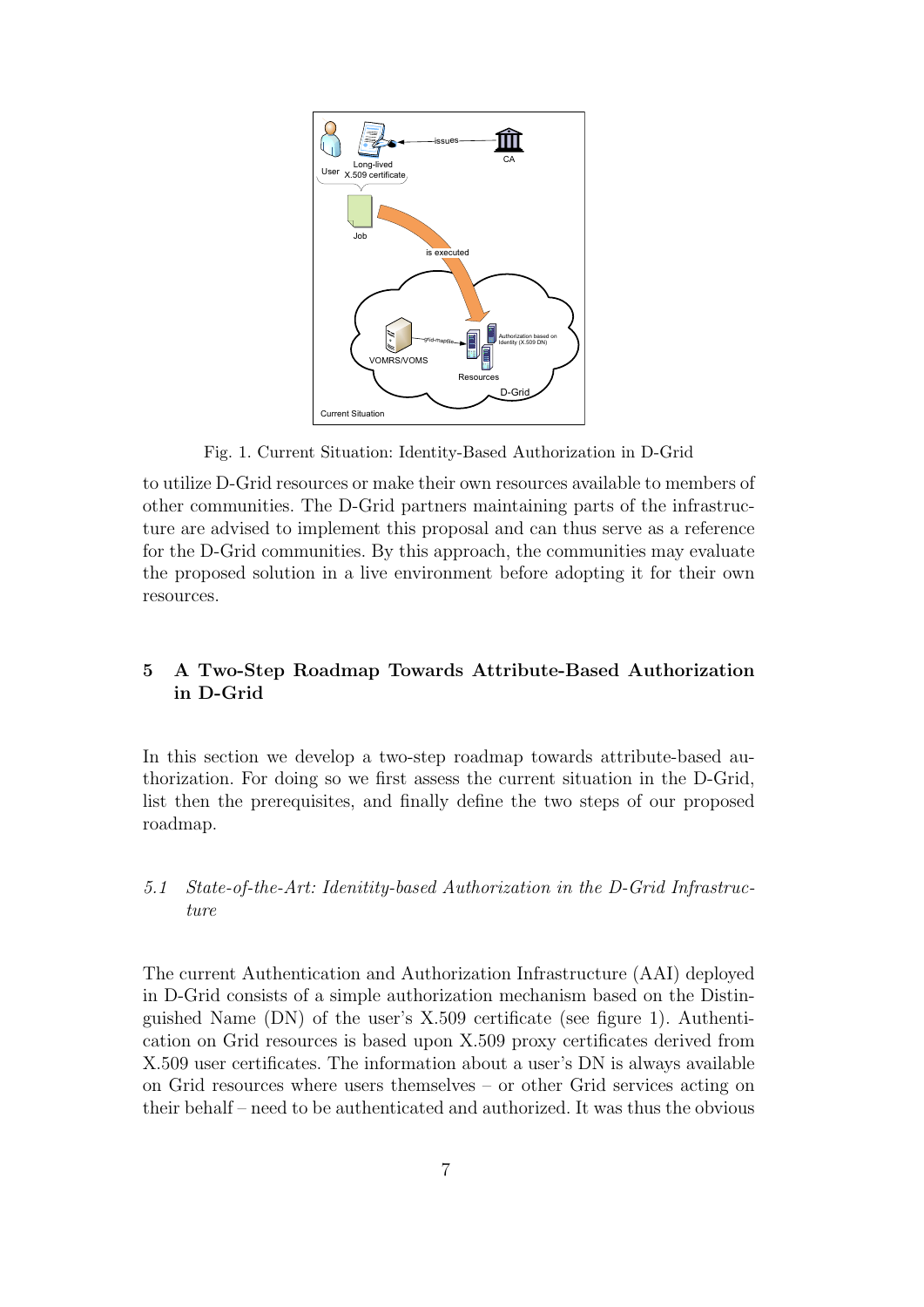

Fig. 1. Current Situation: Identity-Based Authorization in D-Grid

to utilize D-Grid resources or make their own resources available to members of other communities. The D-Grid partners maintaining parts of the infrastructure are advised to implement this proposal and can thus serve as a reference for the D-Grid communities. By this approach, the communities may evaluate the proposed solution in a live environment before adopting it for their own resources.

# 5 A Two-Step Roadmap Towards Attribute-Based Authorization in D-Grid

In this section we develop a two-step roadmap towards attribute-based authorization. For doing so we first assess the current situation in the D-Grid, list then the prerequisites, and finally define the two steps of our proposed roadmap.

5.1 State-of-the-Art: Idenitity-based Authorization in the D-Grid Infrastructure

The current Authentication and Authorization Infrastructure (AAI) deployed in D-Grid consists of a simple authorization mechanism based on the Distinguished Name (DN) of the user's X.509 certificate (see figure 1). Authentication on Grid resources is based upon X.509 proxy certificates derived from X.509 user certificates. The information about a user's DN is always available on Grid resources where users themselves – or other Grid services acting on their behalf – need to be authenticated and authorized. It was thus the obvious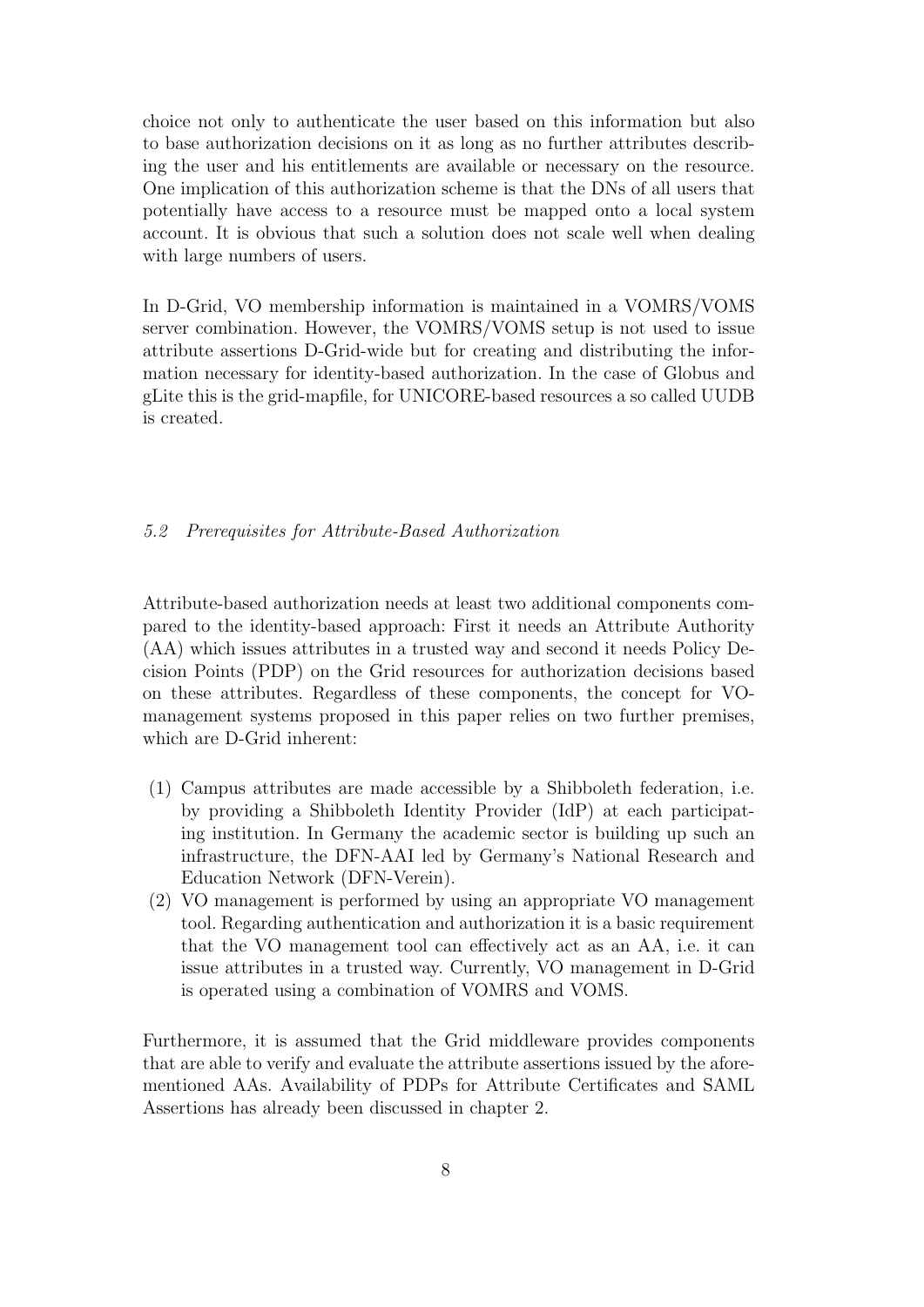choice not only to authenticate the user based on this information but also to base authorization decisions on it as long as no further attributes describing the user and his entitlements are available or necessary on the resource. One implication of this authorization scheme is that the DNs of all users that potentially have access to a resource must be mapped onto a local system account. It is obvious that such a solution does not scale well when dealing with large numbers of users.

In D-Grid, VO membership information is maintained in a VOMRS/VOMS server combination. However, the VOMRS/VOMS setup is not used to issue attribute assertions D-Grid-wide but for creating and distributing the information necessary for identity-based authorization. In the case of Globus and gLite this is the grid-mapfile, for UNICORE-based resources a so called UUDB is created.

#### 5.2 Prerequisites for Attribute-Based Authorization

Attribute-based authorization needs at least two additional components compared to the identity-based approach: First it needs an Attribute Authority (AA) which issues attributes in a trusted way and second it needs Policy Decision Points (PDP) on the Grid resources for authorization decisions based on these attributes. Regardless of these components, the concept for VOmanagement systems proposed in this paper relies on two further premises, which are D-Grid inherent:

- (1) Campus attributes are made accessible by a Shibboleth federation, i.e. by providing a Shibboleth Identity Provider (IdP) at each participating institution. In Germany the academic sector is building up such an infrastructure, the DFN-AAI led by Germany's National Research and Education Network (DFN-Verein).
- (2) VO management is performed by using an appropriate VO management tool. Regarding authentication and authorization it is a basic requirement that the VO management tool can effectively act as an AA, i.e. it can issue attributes in a trusted way. Currently, VO management in D-Grid is operated using a combination of VOMRS and VOMS.

Furthermore, it is assumed that the Grid middleware provides components that are able to verify and evaluate the attribute assertions issued by the aforementioned AAs. Availability of PDPs for Attribute Certificates and SAML Assertions has already been discussed in chapter 2.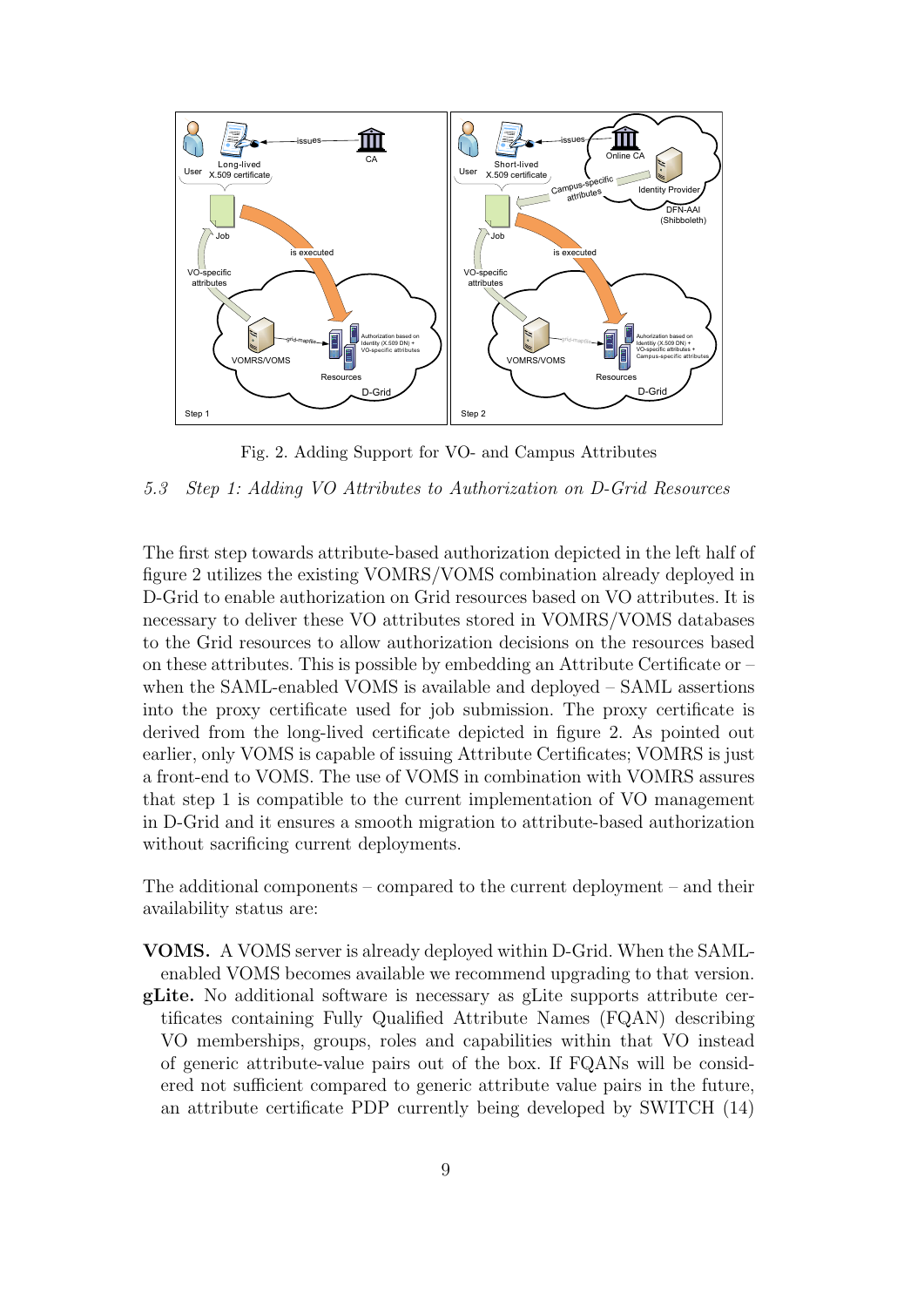

Fig. 2. Adding Support for VO- and Campus Attributes

5.3 Step 1: Adding VO Attributes to Authorization on D-Grid Resources

The first step towards attribute-based authorization depicted in the left half of figure 2 utilizes the existing VOMRS/VOMS combination already deployed in D-Grid to enable authorization on Grid resources based on VO attributes. It is necessary to deliver these VO attributes stored in VOMRS/VOMS databases to the Grid resources to allow authorization decisions on the resources based on these attributes. This is possible by embedding an Attribute Certificate or – when the SAML-enabled VOMS is available and deployed – SAML assertions into the proxy certificate used for job submission. The proxy certificate is derived from the long-lived certificate depicted in figure 2. As pointed out earlier, only VOMS is capable of issuing Attribute Certificates; VOMRS is just a front-end to VOMS. The use of VOMS in combination with VOMRS assures that step 1 is compatible to the current implementation of VO management in D-Grid and it ensures a smooth migration to attribute-based authorization without sacrificing current deployments.

The additional components – compared to the current deployment – and their availability status are:

VOMS. A VOMS server is already deployed within D-Grid. When the SAMLenabled VOMS becomes available we recommend upgrading to that version. gLite. No additional software is necessary as gLite supports attribute certificates containing Fully Qualified Attribute Names (FQAN) describing VO memberships, groups, roles and capabilities within that VO instead of generic attribute-value pairs out of the box. If FQANs will be considered not sufficient compared to generic attribute value pairs in the future, an attribute certificate PDP currently being developed by SWITCH (14)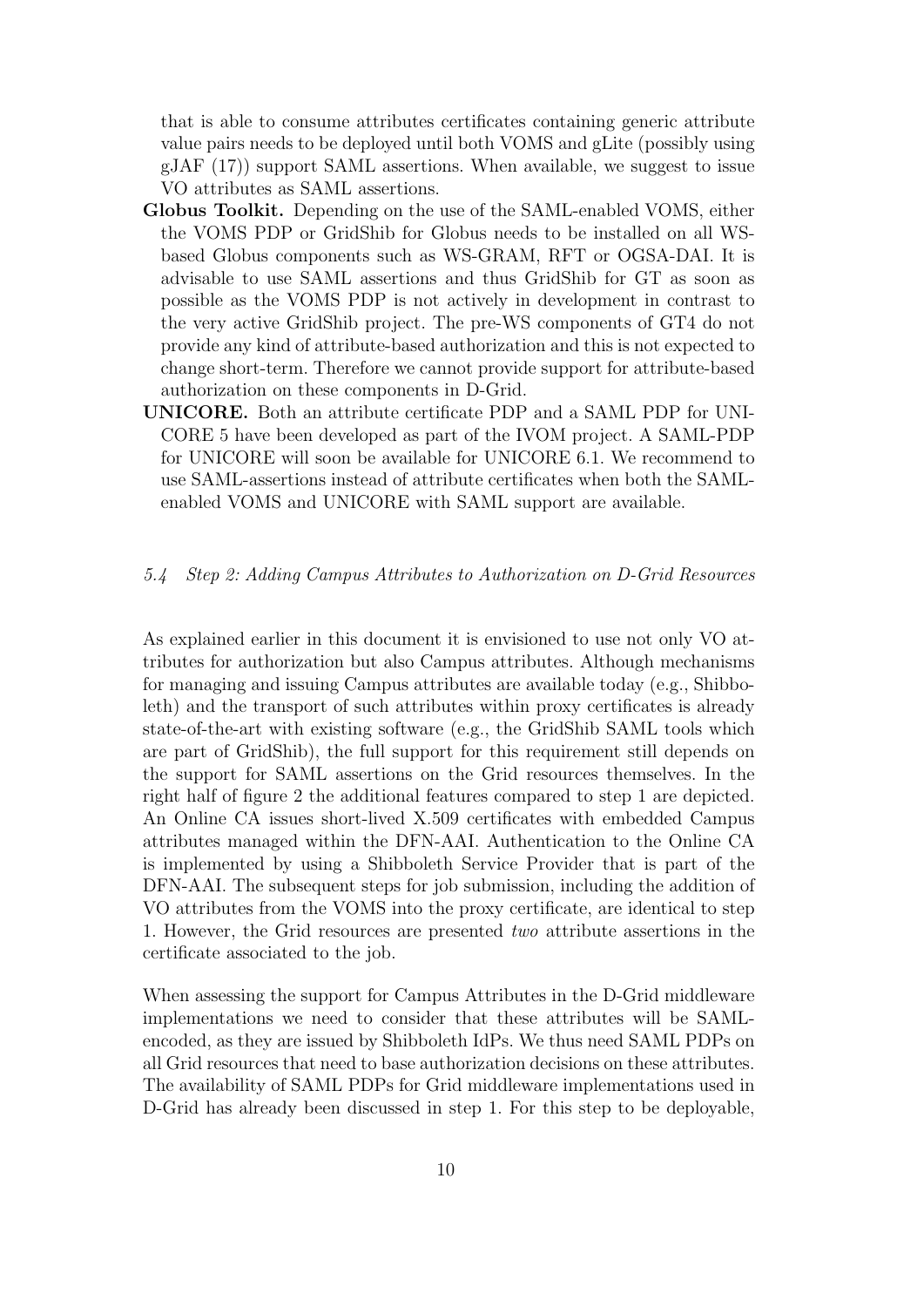that is able to consume attributes certificates containing generic attribute value pairs needs to be deployed until both VOMS and gLite (possibly using gJAF (17)) support SAML assertions. When available, we suggest to issue VO attributes as SAML assertions.

- Globus Toolkit. Depending on the use of the SAML-enabled VOMS, either the VOMS PDP or GridShib for Globus needs to be installed on all WSbased Globus components such as WS-GRAM, RFT or OGSA-DAI. It is advisable to use SAML assertions and thus GridShib for GT as soon as possible as the VOMS PDP is not actively in development in contrast to the very active GridShib project. The pre-WS components of GT4 do not provide any kind of attribute-based authorization and this is not expected to change short-term. Therefore we cannot provide support for attribute-based authorization on these components in D-Grid.
- UNICORE. Both an attribute certificate PDP and a SAML PDP for UNI-CORE 5 have been developed as part of the IVOM project. A SAML-PDP for UNICORE will soon be available for UNICORE 6.1. We recommend to use SAML-assertions instead of attribute certificates when both the SAMLenabled VOMS and UNICORE with SAML support are available.

# 5.4 Step 2: Adding Campus Attributes to Authorization on D-Grid Resources

As explained earlier in this document it is envisioned to use not only VO attributes for authorization but also Campus attributes. Although mechanisms for managing and issuing Campus attributes are available today (e.g., Shibboleth) and the transport of such attributes within proxy certificates is already state-of-the-art with existing software (e.g., the GridShib SAML tools which are part of GridShib), the full support for this requirement still depends on the support for SAML assertions on the Grid resources themselves. In the right half of figure 2 the additional features compared to step 1 are depicted. An Online CA issues short-lived X.509 certificates with embedded Campus attributes managed within the DFN-AAI. Authentication to the Online CA is implemented by using a Shibboleth Service Provider that is part of the DFN-AAI. The subsequent steps for job submission, including the addition of VO attributes from the VOMS into the proxy certificate, are identical to step 1. However, the Grid resources are presented two attribute assertions in the certificate associated to the job.

When assessing the support for Campus Attributes in the D-Grid middleware implementations we need to consider that these attributes will be SAMLencoded, as they are issued by Shibboleth IdPs. We thus need SAML PDPs on all Grid resources that need to base authorization decisions on these attributes. The availability of SAML PDPs for Grid middleware implementations used in D-Grid has already been discussed in step 1. For this step to be deployable,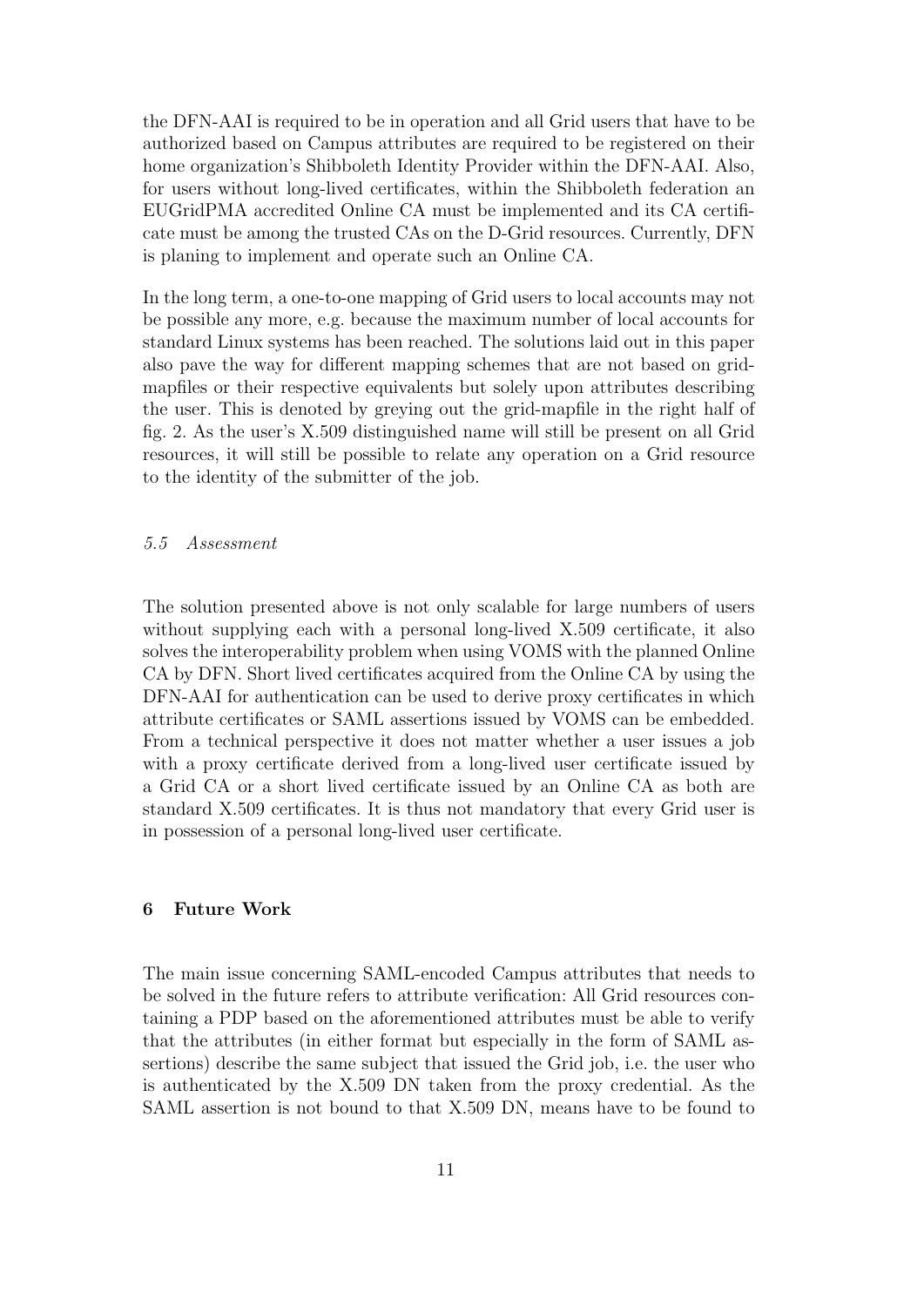the DFN-AAI is required to be in operation and all Grid users that have to be authorized based on Campus attributes are required to be registered on their home organization's Shibboleth Identity Provider within the DFN-AAI. Also, for users without long-lived certificates, within the Shibboleth federation an EUGridPMA accredited Online CA must be implemented and its CA certificate must be among the trusted CAs on the D-Grid resources. Currently, DFN is planing to implement and operate such an Online CA.

In the long term, a one-to-one mapping of Grid users to local accounts may not be possible any more, e.g. because the maximum number of local accounts for standard Linux systems has been reached. The solutions laid out in this paper also pave the way for different mapping schemes that are not based on gridmapfiles or their respective equivalents but solely upon attributes describing the user. This is denoted by greying out the grid-mapfile in the right half of fig. 2. As the user's X.509 distinguished name will still be present on all Grid resources, it will still be possible to relate any operation on a Grid resource to the identity of the submitter of the job.

#### 5.5 Assessment

The solution presented above is not only scalable for large numbers of users without supplying each with a personal long-lived X.509 certificate, it also solves the interoperability problem when using VOMS with the planned Online CA by DFN. Short lived certificates acquired from the Online CA by using the DFN-AAI for authentication can be used to derive proxy certificates in which attribute certificates or SAML assertions issued by VOMS can be embedded. From a technical perspective it does not matter whether a user issues a job with a proxy certificate derived from a long-lived user certificate issued by a Grid CA or a short lived certificate issued by an Online CA as both are standard X.509 certificates. It is thus not mandatory that every Grid user is in possession of a personal long-lived user certificate.

#### 6 Future Work

The main issue concerning SAML-encoded Campus attributes that needs to be solved in the future refers to attribute verification: All Grid resources containing a PDP based on the aforementioned attributes must be able to verify that the attributes (in either format but especially in the form of SAML assertions) describe the same subject that issued the Grid job, i.e. the user who is authenticated by the X.509 DN taken from the proxy credential. As the SAML assertion is not bound to that X.509 DN, means have to be found to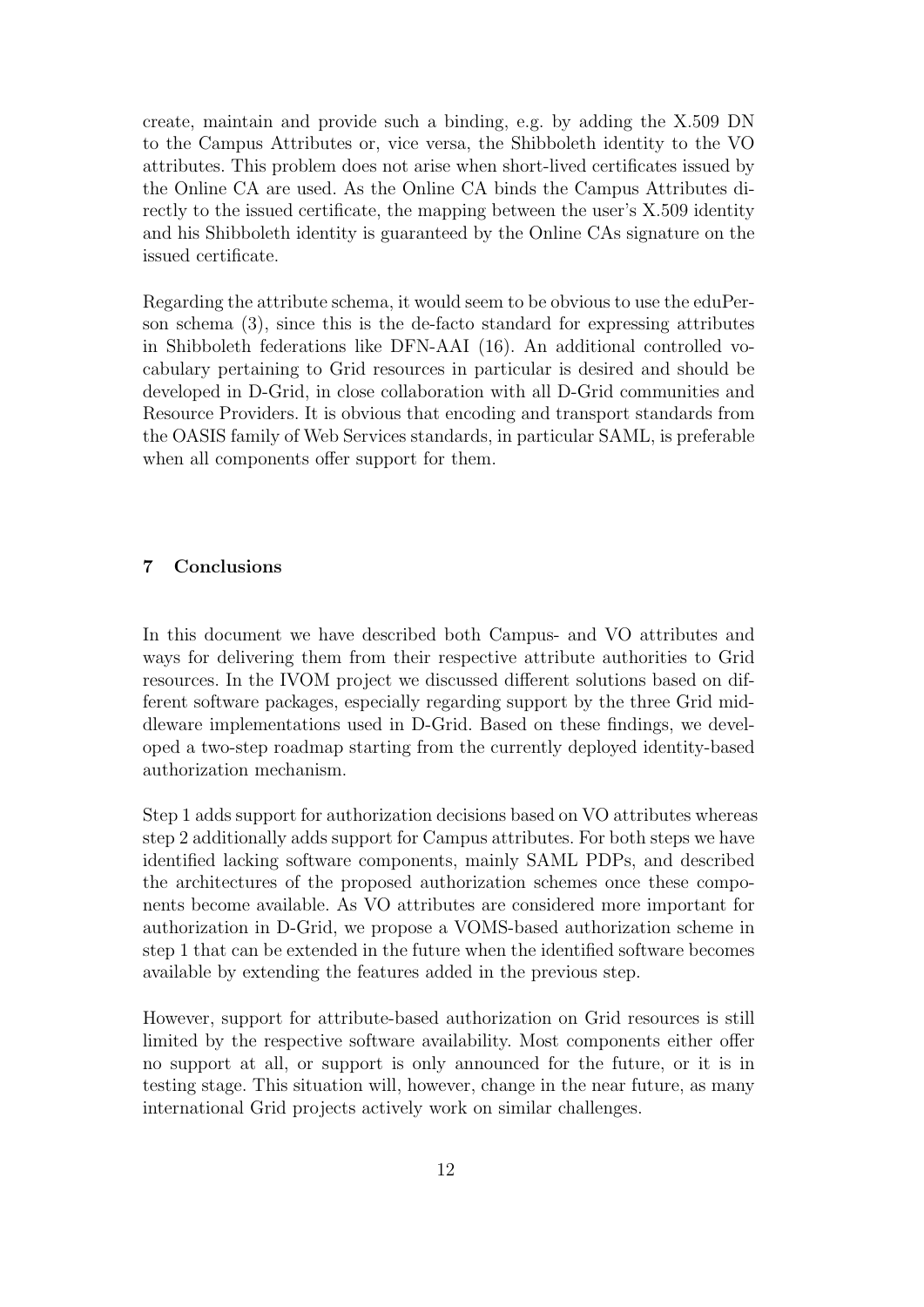create, maintain and provide such a binding, e.g. by adding the X.509 DN to the Campus Attributes or, vice versa, the Shibboleth identity to the VO attributes. This problem does not arise when short-lived certificates issued by the Online CA are used. As the Online CA binds the Campus Attributes directly to the issued certificate, the mapping between the user's X.509 identity and his Shibboleth identity is guaranteed by the Online CAs signature on the issued certificate.

Regarding the attribute schema, it would seem to be obvious to use the eduPerson schema (3), since this is the de-facto standard for expressing attributes in Shibboleth federations like DFN-AAI (16). An additional controlled vocabulary pertaining to Grid resources in particular is desired and should be developed in D-Grid, in close collaboration with all D-Grid communities and Resource Providers. It is obvious that encoding and transport standards from the OASIS family of Web Services standards, in particular SAML, is preferable when all components offer support for them.

# 7 Conclusions

In this document we have described both Campus- and VO attributes and ways for delivering them from their respective attribute authorities to Grid resources. In the IVOM project we discussed different solutions based on different software packages, especially regarding support by the three Grid middleware implementations used in D-Grid. Based on these findings, we developed a two-step roadmap starting from the currently deployed identity-based authorization mechanism.

Step 1 adds support for authorization decisions based on VO attributes whereas step 2 additionally adds support for Campus attributes. For both steps we have identified lacking software components, mainly SAML PDPs, and described the architectures of the proposed authorization schemes once these components become available. As VO attributes are considered more important for authorization in D-Grid, we propose a VOMS-based authorization scheme in step 1 that can be extended in the future when the identified software becomes available by extending the features added in the previous step.

However, support for attribute-based authorization on Grid resources is still limited by the respective software availability. Most components either offer no support at all, or support is only announced for the future, or it is in testing stage. This situation will, however, change in the near future, as many international Grid projects actively work on similar challenges.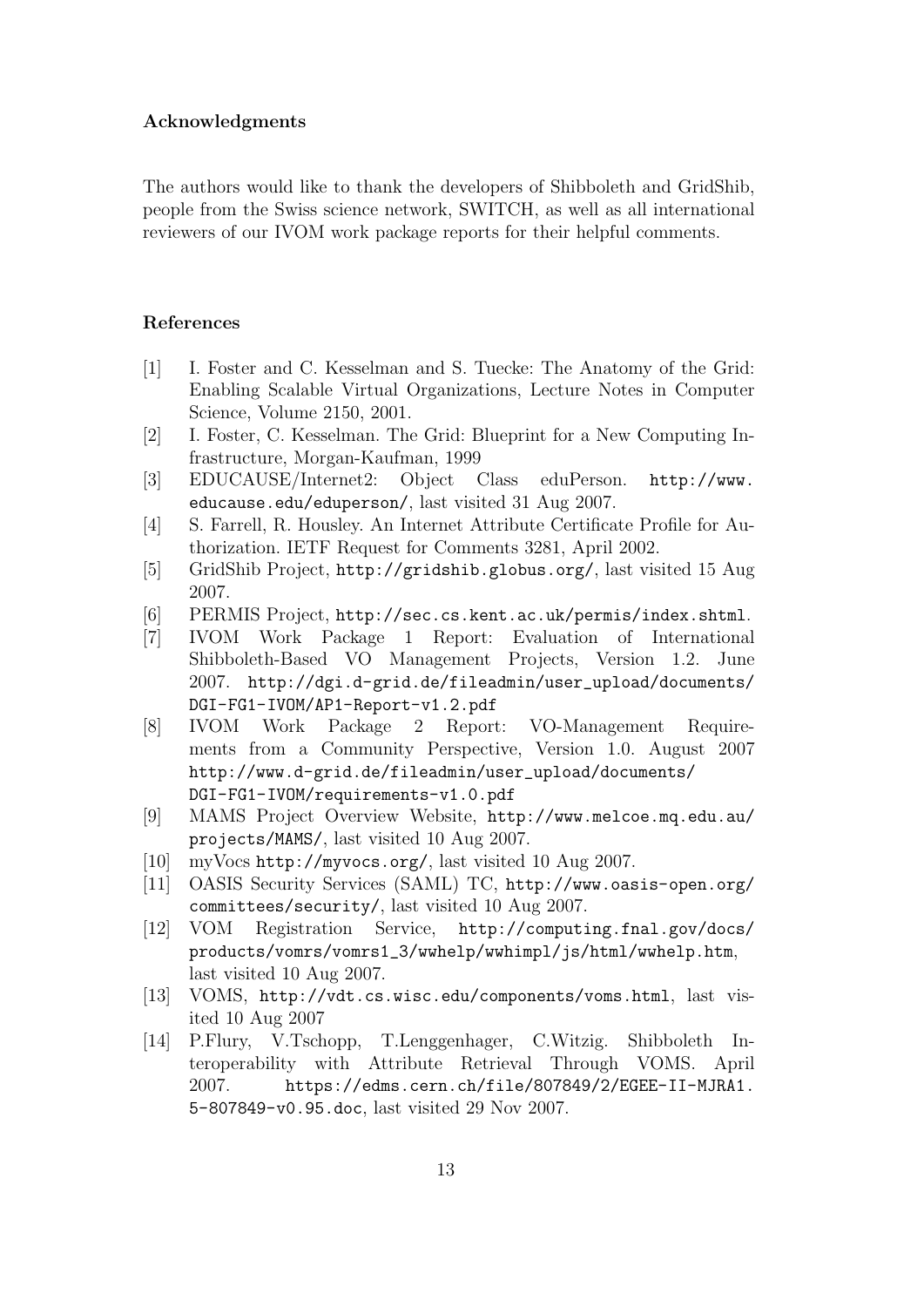# Acknowledgments

The authors would like to thank the developers of Shibboleth and GridShib, people from the Swiss science network, SWITCH, as well as all international reviewers of our IVOM work package reports for their helpful comments.

# References

- [1] I. Foster and C. Kesselman and S. Tuecke: The Anatomy of the Grid: Enabling Scalable Virtual Organizations, Lecture Notes in Computer Science, Volume 2150, 2001.
- [2] I. Foster, C. Kesselman. The Grid: Blueprint for a New Computing Infrastructure, Morgan-Kaufman, 1999
- [3] EDUCAUSE/Internet2: Object Class eduPerson. http://www. educause.edu/eduperson/, last visited 31 Aug 2007.
- [4] S. Farrell, R. Housley. An Internet Attribute Certificate Profile for Authorization. IETF Request for Comments 3281, April 2002.
- [5] GridShib Project, http://gridshib.globus.org/, last visited 15 Aug 2007.
- [6] PERMIS Project, http://sec.cs.kent.ac.uk/permis/index.shtml.
- [7] IVOM Work Package 1 Report: Evaluation of International Shibboleth-Based VO Management Projects, Version 1.2. June 2007. http://dgi.d-grid.de/fileadmin/user\_upload/documents/ DGI-FG1-IVOM/AP1-Report-v1.2.pdf
- [8] IVOM Work Package 2 Report: VO-Management Requirements from a Community Perspective, Version 1.0. August 2007 http://www.d-grid.de/fileadmin/user\_upload/documents/ DGI-FG1-IVOM/requirements-v1.0.pdf
- [9] MAMS Project Overview Website, http://www.melcoe.mq.edu.au/ projects/MAMS/, last visited 10 Aug 2007.
- [10] myVocs http://myvocs.org/, last visited 10 Aug 2007.
- [11] OASIS Security Services (SAML) TC, http://www.oasis-open.org/ committees/security/, last visited 10 Aug 2007.
- [12] VOM Registration Service, http://computing.fnal.gov/docs/ products/vomrs/vomrs1\_3/wwhelp/wwhimpl/js/html/wwhelp.htm, last visited 10 Aug 2007.
- [13] VOMS, http://vdt.cs.wisc.edu/components/voms.html, last visited 10 Aug 2007
- [14] P.Flury, V.Tschopp, T.Lenggenhager, C.Witzig. Shibboleth Interoperability with Attribute Retrieval Through VOMS. April 2007. https://edms.cern.ch/file/807849/2/EGEE-II-MJRA1. 5-807849-v0.95.doc, last visited 29 Nov 2007.